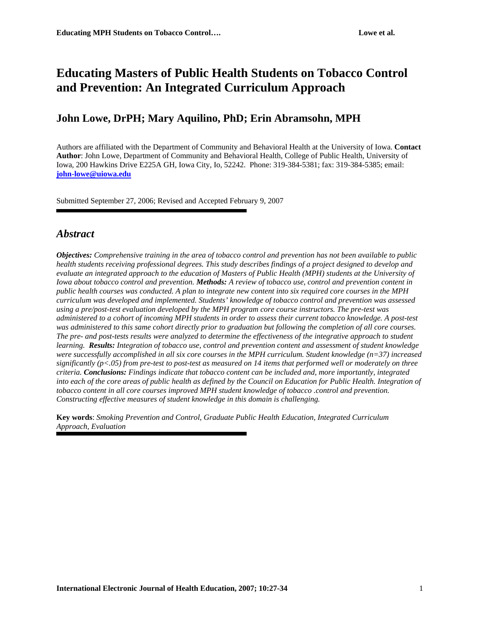# **Educating Masters of Public Health Students on Tobacco Control and Prevention: An Integrated Curriculum Approach**

## **John Lowe, DrPH; Mary Aquilino, PhD; Erin Abramsohn, MPH**

Authors are affiliated with the Department of Community and Behavioral Health at the University of Iowa. **Contact Author**: John Lowe, Department of Community and Behavioral Health, College of Public Health, University of Iowa, 200 Hawkins Drive E225A GH, Iowa City, Io, 52242. Phone: 319-384-5381; fax: 319-384-5385; email: **[john-lowe@uiowa.edu](mailto:john-lowe@uiowa.edu)**

Submitted September 27, 2006; Revised and Accepted February 9, 2007

## *Abstract*

*Objectives: Comprehensive training in the area of tobacco control and prevention has not been available to public health students receiving professional degrees. This study describes findings of a project designed to develop and evaluate an integrated approach to the education of Masters of Public Health (MPH) students at the University of Iowa about tobacco control and prevention. Methods: A review of tobacco use, control and prevention content in public health courses was conducted. A plan to integrate new content into six required core courses in the MPH curriculum was developed and implemented. Students' knowledge of tobacco control and prevention was assessed using a pre/post-test evaluation developed by the MPH program core course instructors. The pre-test was administered to a cohort of incoming MPH students in order to assess their current tobacco knowledge. A post-test was administered to this same cohort directly prior to graduation but following the completion of all core courses. The pre- and post-tests results were analyzed to determine the effectiveness of the integrative approach to student learning. Results: Integration of tobacco use, control and prevention content and assessment of student knowledge were successfully accomplished in all six core courses in the MPH curriculum. Student knowledge (n=37) increased significantly (p<.05) from pre-test to post-test as measured on 14 items that performed well or moderately on three criteria. Conclusions: Findings indicate that tobacco content can be included and, more importantly, integrated*  into each of the core areas of public health as defined by the Council on Education for Public Health. Integration of *tobacco content in all core courses improved MPH student knowledge of tobacco .control and prevention. Constructing effective measures of student knowledge in this domain is challenging.* 

**Key words**: *Smoking Prevention and Control, Graduate Public Health Education, Integrated Curriculum Approach, Evaluation*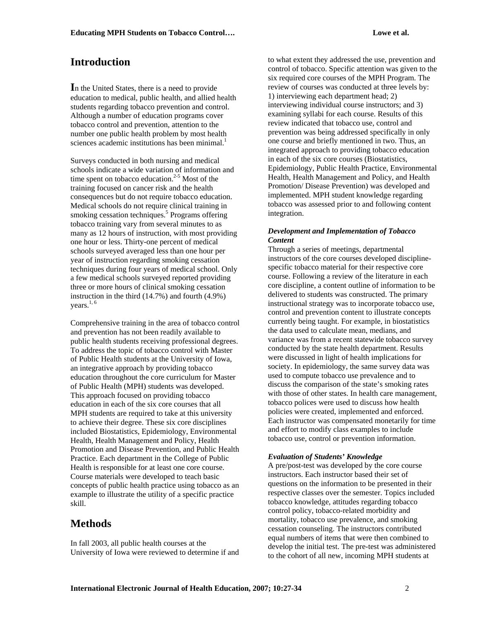## **Introduction**

In the United States, there is a need to provide education to medical, public health, and allied health students regarding tobacco prevention and control. Although a number of education programs cover tobacco control and prevention, attention to the number one public health problem by most health sciences academic institutions has been minimal.<sup>1</sup>

Surveys conducted in both nursing and medical schools indicate a wide variation of information and time spent on tobacco education. $2-5$  Most of the training focused on cancer risk and the health consequences but do not require tobacco education. Medical schools do not require clinical training in smoking cessation techniques.<sup>5</sup> Programs offering tobacco training vary from several minutes to as many as 12 hours of instruction, with most providing one hour or less. Thirty-one percent of medical schools surveyed averaged less than one hour per year of instruction regarding smoking cessation techniques during four years of medical school. Only a few medical schools surveyed reported providing three or more hours of clinical smoking cessation instruction in the third (14.7%) and fourth (4.9%) vears. $1, 6$ 

Comprehensive training in the area of tobacco control and prevention has not been readily available to public health students receiving professional degrees. To address the topic of tobacco control with Master of Public Health students at the University of Iowa, an integrative approach by providing tobacco education throughout the core curriculum for Master of Public Health (MPH) students was developed. This approach focused on providing tobacco education in each of the six core courses that all MPH students are required to take at this university to achieve their degree. These six core disciplines included Biostatistics, Epidemiology, Environmental Health, Health Management and Policy, Health Promotion and Disease Prevention, and Public Health Practice. Each department in the College of Public Health is responsible for at least one core course. Course materials were developed to teach basic concepts of public health practice using tobacco as an example to illustrate the utility of a specific practice skill.

## **Methods**

In fall 2003, all public health courses at the University of Iowa were reviewed to determine if and to what extent they addressed the use, prevention and control of tobacco. Specific attention was given to the six required core courses of the MPH Program. The review of courses was conducted at three levels by: 1) interviewing each department head; 2) interviewing individual course instructors; and 3) examining syllabi for each course. Results of this review indicated that tobacco use, control and prevention was being addressed specifically in only one course and briefly mentioned in two. Thus, an integrated approach to providing tobacco education in each of the six core courses (Biostatistics, Epidemiology, Public Health Practice, Environmental Health, Health Management and Policy, and Health Promotion/ Disease Prevention) was developed and implemented. MPH student knowledge regarding tobacco was assessed prior to and following content integration.

### *Development and Implementation of Tobacco Content*

Through a series of meetings, departmental instructors of the core courses developed disciplinespecific tobacco material for their respective core course. Following a review of the literature in each core discipline, a content outline of information to be delivered to students was constructed. The primary instructional strategy was to incorporate tobacco use, control and prevention content to illustrate concepts currently being taught. For example, in biostatistics the data used to calculate mean, medians, and variance was from a recent statewide tobacco survey conducted by the state health department. Results were discussed in light of health implications for society. In epidemiology, the same survey data was used to compute tobacco use prevalence and to discuss the comparison of the state's smoking rates with those of other states. In health care management, tobacco polices were used to discuss how health policies were created, implemented and enforced. Each instructor was compensated monetarily for time and effort to modify class examples to include tobacco use, control or prevention information.

### *Evaluation of Students' Knowledge*

A pre/post-test was developed by the core course instructors. Each instructor based their set of questions on the information to be presented in their respective classes over the semester. Topics included tobacco knowledge, attitudes regarding tobacco control policy, tobacco-related morbidity and mortality, tobacco use prevalence, and smoking cessation counseling. The instructors contributed equal numbers of items that were then combined to develop the initial test. The pre-test was administered to the cohort of all new, incoming MPH students at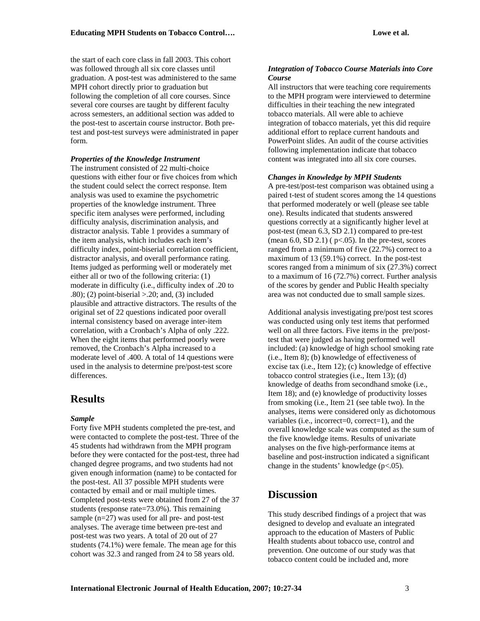the start of each core class in fall 2003. This cohort was followed through all six core classes until graduation. A post-test was administered to the same MPH cohort directly prior to graduation but following the completion of all core courses. Since several core courses are taught by different faculty across semesters, an additional section was added to the post-test to ascertain course instructor. Both pretest and post-test surveys were administrated in paper form.

#### *Properties of the Knowledge Instrument*

The instrument consisted of 22 multi-choice questions with either four or five choices from which the student could select the correct response. Item analysis was used to examine the psychometric properties of the knowledge instrument. Three specific item analyses were performed, including difficulty analysis, discrimination analysis, and distractor analysis. Table 1 provides a summary of the item analysis, which includes each item's difficulty index, point-biserial correlation coefficient, distractor analysis, and overall performance rating. Items judged as performing well or moderately met either all or two of the following criteria: (1) moderate in difficulty (i.e., difficulty index of .20 to  $.80$ ); (2) point-biserial >.20; and, (3) included plausible and attractive distractors. The results of the original set of 22 questions indicated poor overall internal consistency based on average inter-item correlation, with a Cronbach's Alpha of only .222. When the eight items that performed poorly were removed, the Cronbach's Alpha increased to a moderate level of .400. A total of 14 questions were used in the analysis to determine pre/post-test score differences.

### **Results**

#### *Sample*

Forty five MPH students completed the pre-test, and were contacted to complete the post-test. Three of the 45 students had withdrawn from the MPH program before they were contacted for the post-test, three had changed degree programs, and two students had not given enough information (name) to be contacted for the post-test. All 37 possible MPH students were contacted by email and or mail multiple times. Completed post-tests were obtained from 27 of the 37 students (response rate=73.0%). This remaining sample (n=27) was used for all pre- and post-test analyses. The average time between pre-test and post-test was two years. A total of 20 out of 27 students (74.1%) were female. The mean age for this cohort was 32.3 and ranged from 24 to 58 years old.

#### *Integration of Tobacco Course Materials into Core Course*

All instructors that were teaching core requirements to the MPH program were interviewed to determine difficulties in their teaching the new integrated tobacco materials. All were able to achieve integration of tobacco materials, yet this did require additional effort to replace current handouts and PowerPoint slides. An audit of the course activities following implementation indicate that tobacco content was integrated into all six core courses.

#### *Changes in Knowledge by MPH Students*

A pre-test/post-test comparison was obtained using a paired t-test of student scores among the 14 questions that performed moderately or well (please see table one). Results indicated that students answered questions correctly at a significantly higher level at post-test (mean 6.3, SD 2.1) compared to pre-test (mean 6.0, SD 2.1) ( $p<0.05$ ). In the pre-test, scores ranged from a minimum of five (22.7%) correct to a maximum of 13 (59.1%) correct. In the post-test scores ranged from a minimum of six (27.3%) correct to a maximum of 16 (72.7%) correct. Further analysis of the scores by gender and Public Health specialty area was not conducted due to small sample sizes.

Additional analysis investigating pre/post test scores was conducted using only test items that performed well on all three factors. Five items in the pre/posttest that were judged as having performed well included: (a) knowledge of high school smoking rate (i.e., Item 8); (b) knowledge of effectiveness of excise tax (i.e., Item 12); (c) knowledge of effective tobacco control strategies (i.e., Item 13); (d) knowledge of deaths from secondhand smoke (i.e., Item 18); and (e) knowledge of productivity losses from smoking (i.e., Item 21 (see table two). In the analyses, items were considered only as dichotomous variables (i.e., incorrect=0, correct=1), and the overall knowledge scale was computed as the sum of the five knowledge items. Results of univariate analyses on the five high-performance items at baseline and post-instruction indicated a significant change in the students' knowledge (p<.05).

### **Discussion**

This study described findings of a project that was designed to develop and evaluate an integrated approach to the education of Masters of Public Health students about tobacco use, control and prevention. One outcome of our study was that tobacco content could be included and, more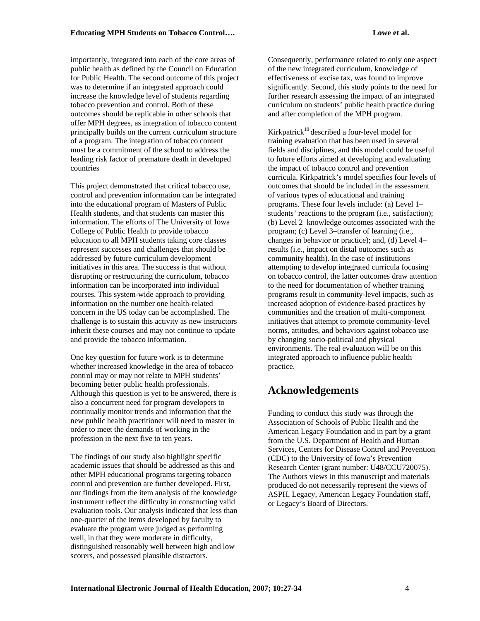importantly, integrated into each of the core areas of public health as defined by the Council on Education for Public Health. The second outcome of this project was to determine if an integrated approach could increase the knowledge level of students regarding tobacco prevention and control. Both of these outcomes should be replicable in other schools that offer MPH degrees, as integration of tobacco content principally builds on the current curriculum structure of a program. The integration of tobacco content must be a commitment of the school to address the leading risk factor of premature death in developed countries

This project demonstrated that critical tobacco use, control and prevention information can be integrated into the educational program of Masters of Public Health students, and that students can master this information. The efforts of The University of Iowa College of Public Health to provide tobacco education to all MPH students taking core classes represent successes and challenges that should be addressed by future curriculum development initiatives in this area. The success is that without disrupting or restructuring the curriculum, tobacco information can be incorporated into individual courses. This system-wide approach to providing information on the number one health-related concern in the US today can be accomplished. The challenge is to sustain this activity as new instructors inherit these courses and may not continue to update and provide the tobacco information.

One key question for future work is to determine whether increased knowledge in the area of tobacco control may or may not relate to MPH students' becoming better public health professionals. Although this question is yet to be answered, there is also a concurrent need for program developers to continually monitor trends and information that the new public health practitioner will need to master in order to meet the demands of working in the profession in the next five to ten years.

The findings of our study also highlight specific academic issues that should be addressed as this and other MPH educational programs targeting tobacco control and prevention are further developed. First, our findings from the item analysis of the knowledge instrument reflect the difficulty in constructing valid evaluation tools. Our analysis indicated that less than one-quarter of the items developed by faculty to evaluate the program were judged as performing well, in that they were moderate in difficulty, distinguished reasonably well between high and low scorers, and possessed plausible distractors.

Consequently, performance related to only one aspect of the new integrated curriculum, knowledge of effectiveness of excise tax, was found to improve significantly. Second, this study points to the need for further research assessing the impact of an integrated curriculum on students' public health practice during and after completion of the MPH program.

Kirkpatrick<sup>10</sup> described a four-level model for training evaluation that has been used in several fields and disciplines, and this model could be useful to future efforts aimed at developing and evaluating the impact of tobacco control and prevention curricula. Kirkpatrick's model specifies four levels of outcomes that should be included in the assessment of various types of educational and training programs. These four levels include: (a) Level 1– students' reactions to the program (i.e., satisfaction); (b) Level 2–knowledge outcomes associated with the program; (c) Level 3–transfer of learning (i.e., changes in behavior or practice); and, (d) Level 4– results (i.e., impact on distal outcomes such as community health). In the case of institutions attempting to develop integrated curricula focusing on tobacco control, the latter outcomes draw attention to the need for documentation of whether training programs result in community-level impacts, such as increased adoption of evidence-based practices by communities and the creation of multi-component initiatives that attempt to promote community-level norms, attitudes, and behaviors against tobacco use by changing socio-political and physical environments. The real evaluation will be on this integrated approach to influence public health practice.

## **Acknowledgements**

Funding to conduct this study was through the Association of Schools of Public Health and the American Legacy Foundation and in part by a grant from the U.S. Department of Health and Human Services, Centers for Disease Control and Prevention (CDC) to the University of Iowa's Prevention Research Center (grant number: U48/CCU720075). The Authors views in this manuscript and materials produced do not necessarily represent the views of ASPH, Legacy, American Legacy Foundation staff, or Legacy's Board of Directors.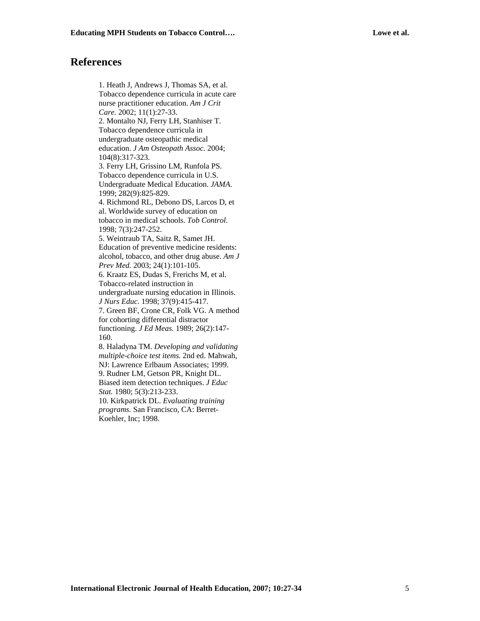## **References**

1. Heath J, Andrews J, Thomas SA, et al. Tobacco dependence curricula in acute care nurse practitioner education. *Am J Crit Care.* 2002; 11(1):27-33. 2. Montalto NJ, Ferry LH, Stanhiser T. Tobacco dependence curricula in undergraduate osteopathic medical education. *J Am Osteopath Assoc.* 2004; 104(8):317-323. 3. Ferry LH, Grissino LM, Runfola PS. Tobacco dependence curricula in U.S. Undergraduate Medical Education. *JAMA*. 1999; 282(9):825-829. 4. Richmond RL, Debono DS, Larcos D, et al. Worldwide survey of education on tobacco in medical schools. *Tob Control*. 1998; 7(3):247-252. 5. Weintraub TA, Saitz R, Samet JH. Education of preventive medicine residents: alcohol, tobacco, and other drug abuse. *Am J Prev Med.* 2003; 24(1):101-105. 6. Kraatz ES, Dudas S, Frerichs M, et al. Tobacco-related instruction in undergraduate nursing education in Illinois. *J Nurs Educ*. 1998; 37(9):415-417. 7. Green BF, Crone CR, Folk VG. A method for cohorting differential distractor functioning. *J Ed Meas.* 1989; 26(2):147- 160. 8. Haladyna TM. *Developing and validating multiple-choice test items.* 2nd ed. Mahwah, NJ: Lawrence Erlbaum Associates; 1999. 9. Rudner LM, Getson PR, Knight DL. Biased item detection techniques. *J Educ Stat.* 1980; 5(3):213-233. 10. Kirkpatrick DL. *Evaluating training programs.* San Francisco, CA: Berret-

Koehler, Inc; 1998.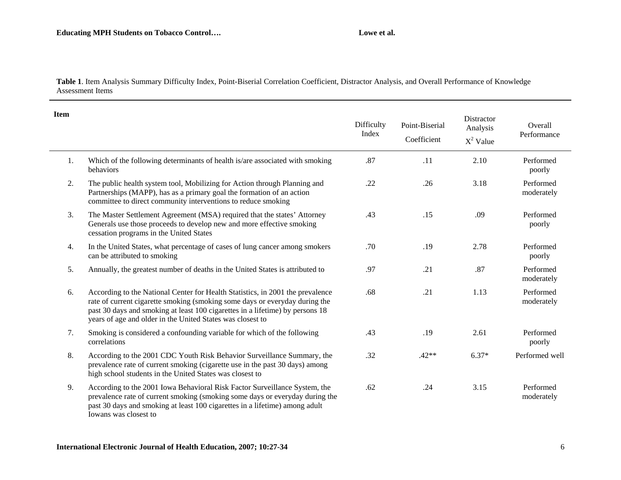### Lowe et al.

**Table 1**. Item Analysis Summary Difficulty Index, Point-Biserial Correlation Coefficient, Distractor Analysis, and Overall Performance of Knowledge Assessment Items

| <b>Item</b> |                                                                                                                                                                                                                                                                                                              | Difficulty<br>Index | Point-Biserial<br>Coefficient | Distractor<br>Analysis<br>$X^2$ Value | Overall<br>Performance  |
|-------------|--------------------------------------------------------------------------------------------------------------------------------------------------------------------------------------------------------------------------------------------------------------------------------------------------------------|---------------------|-------------------------------|---------------------------------------|-------------------------|
| 1.          | Which of the following determinants of health is/are associated with smoking<br>behaviors                                                                                                                                                                                                                    | .87                 | .11                           | 2.10                                  | Performed<br>poorly     |
| 2.          | The public health system tool, Mobilizing for Action through Planning and<br>Partnerships (MAPP), has as a primary goal the formation of an action<br>committee to direct community interventions to reduce smoking                                                                                          | .22                 | .26                           | 3.18                                  | Performed<br>moderately |
| 3.          | The Master Settlement Agreement (MSA) required that the states' Attorney<br>Generals use those proceeds to develop new and more effective smoking<br>cessation programs in the United States                                                                                                                 | .43                 | .15                           | .09                                   | Performed<br>poorly     |
| 4.          | In the United States, what percentage of cases of lung cancer among smokers<br>can be attributed to smoking                                                                                                                                                                                                  | .70                 | .19                           | 2.78                                  | Performed<br>poorly     |
| 5.          | Annually, the greatest number of deaths in the United States is attributed to                                                                                                                                                                                                                                | .97                 | .21                           | .87                                   | Performed<br>moderately |
| 6.          | According to the National Center for Health Statistics, in 2001 the prevalence<br>rate of current cigarette smoking (smoking some days or everyday during the<br>past 30 days and smoking at least 100 cigarettes in a lifetime) by persons 18<br>years of age and older in the United States was closest to | .68                 | .21                           | 1.13                                  | Performed<br>moderately |
| 7.          | Smoking is considered a confounding variable for which of the following<br>correlations                                                                                                                                                                                                                      | .43                 | .19                           | 2.61                                  | Performed<br>poorly     |
| 8.          | According to the 2001 CDC Youth Risk Behavior Surveillance Summary, the<br>prevalence rate of current smoking (cigarette use in the past 30 days) among<br>high school students in the United States was closest to                                                                                          | .32                 | $.42**$                       | $6.37*$                               | Performed well          |
| 9.          | According to the 2001 Iowa Behavioral Risk Factor Surveillance System, the<br>prevalence rate of current smoking (smoking some days or everyday during the<br>past 30 days and smoking at least 100 cigarettes in a lifetime) among adult                                                                    | .62                 | .24                           | 3.15                                  | Performed<br>moderately |

Iowans was closest to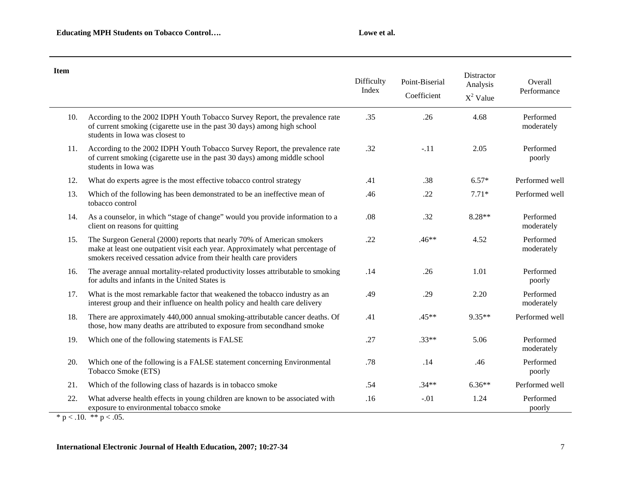| <b>Item</b> |                                                                                                                                                                                                                                | Difficulty<br>Index | Point-Biserial<br>Coefficient | Distractor<br>Analysis<br>$X^2$ Value | Overall<br>Performance  |
|-------------|--------------------------------------------------------------------------------------------------------------------------------------------------------------------------------------------------------------------------------|---------------------|-------------------------------|---------------------------------------|-------------------------|
| 10.         | According to the 2002 IDPH Youth Tobacco Survey Report, the prevalence rate<br>of current smoking (cigarette use in the past 30 days) among high school<br>students in Iowa was closest to                                     | .35                 | .26                           | 4.68                                  | Performed<br>moderately |
| 11.         | According to the 2002 IDPH Youth Tobacco Survey Report, the prevalence rate<br>of current smoking (cigarette use in the past 30 days) among middle school<br>students in Iowa was                                              | .32                 | $-.11$                        | 2.05                                  | Performed<br>poorly     |
| 12.         | What do experts agree is the most effective tobacco control strategy                                                                                                                                                           | .41                 | .38                           | $6.57*$                               | Performed well          |
| 13.         | Which of the following has been demonstrated to be an ineffective mean of<br>tobacco control                                                                                                                                   | .46                 | .22                           | $7.71*$                               | Performed well          |
| 14.         | As a counselor, in which "stage of change" would you provide information to a<br>client on reasons for quitting                                                                                                                | .08                 | .32                           | 8.28**                                | Performed<br>moderately |
| 15.         | The Surgeon General (2000) reports that nearly 70% of American smokers<br>make at least one outpatient visit each year. Approximately what percentage of<br>smokers received cessation advice from their health care providers | .22                 | $.46**$                       | 4.52                                  | Performed<br>moderately |
| 16.         | The average annual mortality-related productivity losses attributable to smoking<br>for adults and infants in the United States is                                                                                             | .14                 | .26                           | 1.01                                  | Performed<br>poorly     |
| 17.         | What is the most remarkable factor that weakened the tobacco industry as an<br>interest group and their influence on health policy and health care delivery                                                                    | .49                 | .29                           | 2.20                                  | Performed<br>moderately |
| 18.         | There are approximately 440,000 annual smoking-attributable cancer deaths. Of<br>those, how many deaths are attributed to exposure from secondhand smoke                                                                       | .41                 | $.45**$                       | 9.35**                                | Performed well          |
| 19.         | Which one of the following statements is FALSE                                                                                                                                                                                 | .27                 | $.33**$                       | 5.06                                  | Performed<br>moderately |
| 20.         | Which one of the following is a FALSE statement concerning Environmental<br>Tobacco Smoke (ETS)                                                                                                                                | .78                 | .14                           | .46                                   | Performed<br>poorly     |
| 21.         | Which of the following class of hazards is in tobacco smoke                                                                                                                                                                    | .54                 | $.34**$                       | $6.36**$                              | Performed well          |
| 22.         | What adverse health effects in young children are known to be associated with<br>exposure to environmental tobacco smoke                                                                                                       | .16                 | $-.01$                        | 1.24                                  | Performed<br>poorly     |

\* p < .10. \*\* p < .05.